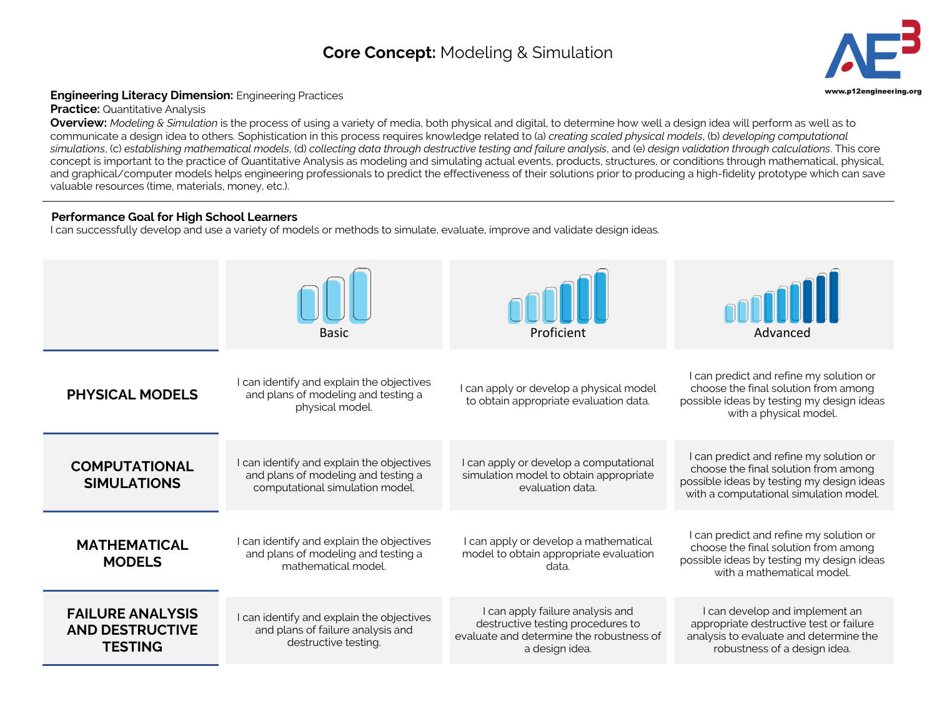## **Core Concept:** Modeling & Simulation **3**



## **Engineering Literacy Dimension:** Engineering Practices **Engineering.org and Secure 2016** and the state of the state of the state of the state of the state of the state of the state of the state of the state of the state o

**Practice: Quantitative Analysis** 

**Overview:** *Modeling & Simulation* is the process of using a variety of media, both physical and digital, to determine how well a design idea will perform as well as to communicate a design idea to others. Sophistication in this process requires knowledge related to (a) *creating scaled physical models*, (b) *developing computational simulations*, (c) *establishing mathematical models*, (d) *collecting data through destructive testing and failure analysis*, and (e) *design validation through calculations*. This core concept is important to the practice of Quantitative Analysis as modeling and simulating actual events, products, structures, or conditions through mathematical, physical, and graphical/computer models helps engineering professionals to predict the effectiveness of their solutions prior to producing a high-fidelity prototype which can save valuable resources (time, materials, money, etc.).

## **Performance Goal for High School Learners**

I can successfully develop and use a variety of models or methods to simulate, evaluate, improve and validate design ideas.

|                                                                     | <b>Basic</b>                                                                                                        | Proficient                                                                                                                          | Advanced                                                                                                                                                               |
|---------------------------------------------------------------------|---------------------------------------------------------------------------------------------------------------------|-------------------------------------------------------------------------------------------------------------------------------------|------------------------------------------------------------------------------------------------------------------------------------------------------------------------|
| <b>PHYSICAL MODELS</b>                                              | I can identify and explain the objectives<br>and plans of modeling and testing a<br>physical model.                 | I can apply or develop a physical model<br>to obtain appropriate evaluation data.                                                   | I can predict and refine my solution or<br>choose the final solution from among<br>possible ideas by testing my design ideas<br>with a physical model.                 |
| <b>COMPUTATIONAL</b><br><b>SIMULATIONS</b>                          | I can identify and explain the objectives<br>and plans of modeling and testing a<br>computational simulation model. | I can apply or develop a computational<br>simulation model to obtain appropriate<br>evaluation data.                                | I can predict and refine my solution or<br>choose the final solution from among<br>possible ideas by testing my design ideas<br>with a computational simulation model. |
| <b>MATHEMATICAL</b><br><b>MODELS</b>                                | can identify and explain the objectives<br>and plans of modeling and testing a<br>mathematical model.               | I can apply or develop a mathematical<br>model to obtain appropriate evaluation<br>data.                                            | I can predict and refine my solution or<br>choose the final solution from among<br>possible ideas by testing my design ideas<br>with a mathematical model.             |
| <b>FAILURE ANALYSIS</b><br><b>AND DESTRUCTIVE</b><br><b>TESTING</b> | I can identify and explain the objectives<br>and plans of failure analysis and<br>destructive testing.              | I can apply failure analysis and<br>destructive testing procedures to<br>evaluate and determine the robustness of<br>a design idea. | I can develop and implement an<br>appropriate destructive test or failure<br>analysis to evaluate and determine the<br>robustness of a design idea.                    |